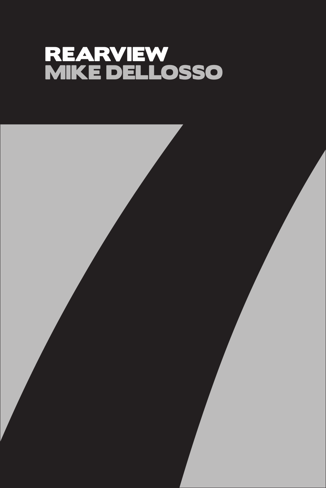## REARVIEW MIKE DELLOSSO

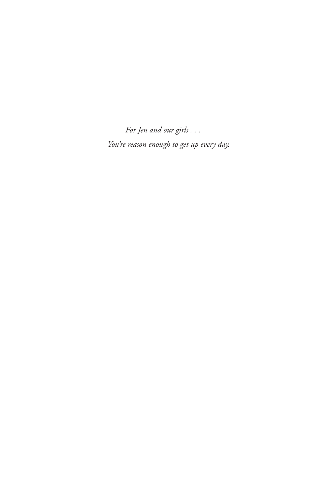*For Jen and our girls . . . You're reason enough to get up every day.*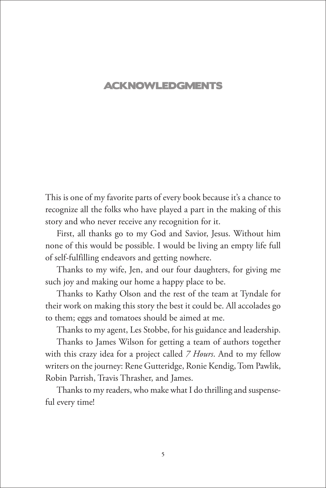## ACKNOWLEDGMENTS

This is one of my favorite parts of every book because it's a chance to recognize all the folks who have played a part in the making of this story and who never receive any recognition for it.

First, all thanks go to my God and Savior, Jesus. Without him none of this would be possible. I would be living an empty life full of self-fulfilling endeavors and getting nowhere.

Thanks to my wife, Jen, and our four daughters, for giving me such joy and making our home a happy place to be.

Thanks to Kathy Olson and the rest of the team at Tyndale for their work on making this story the best it could be. All accolades go to them; eggs and tomatoes should be aimed at me.

Thanks to my agent, Les Stobbe, for his guidance and leadership.

Thanks to James Wilson for getting a team of authors together with this crazy idea for a project called *7 Hours*. And to my fellow writers on the journey: Rene Gutteridge, Ronie Kendig, Tom Pawlik, Robin Parrish, Travis Thrasher, and James.

Thanks to my readers, who make what I do thrilling and suspenseful every time!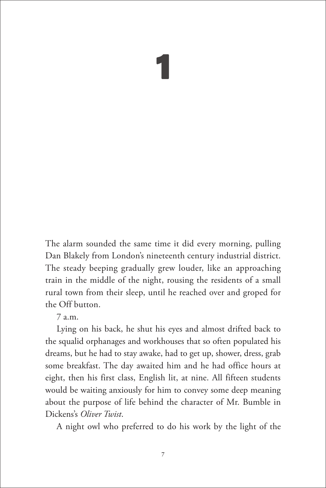## 1

The alarm sounded the same time it did every morning, pulling Dan Blakely from London's nineteenth century industrial district. The steady beeping gradually grew louder, like an approaching train in the middle of the night, rousing the residents of a small rural town from their sleep, until he reached over and groped for the Off button.

7 a.m.

Lying on his back, he shut his eyes and almost drifted back to the squalid orphanages and workhouses that so often populated his dreams, but he had to stay awake, had to get up, shower, dress, grab some breakfast. The day awaited him and he had office hours at eight, then his first class, English lit, at nine. All fifteen students would be waiting anxiously for him to convey some deep meaning about the purpose of life behind the character of Mr. Bumble in Dickens's *Oliver Twist*.

A night owl who preferred to do his work by the light of the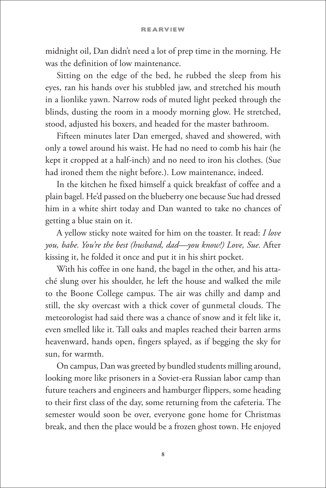midnight oil, Dan didn't need a lot of prep time in the morning. He was the definition of low maintenance.

Sitting on the edge of the bed, he rubbed the sleep from his eyes, ran his hands over his stubbled jaw, and stretched his mouth in a lionlike yawn. Narrow rods of muted light peeked through the blinds, dusting the room in a moody morning glow. He stretched, stood, adjusted his boxers, and headed for the master bathroom.

Fifteen minutes later Dan emerged, shaved and showered, with only a towel around his waist. He had no need to comb his hair (he kept it cropped at a half-inch) and no need to iron his clothes. (Sue had ironed them the night before.). Low maintenance, indeed.

In the kitchen he fixed himself a quick breakfast of coffee and a plain bagel. He'd passed on the blueberry one because Sue had dressed him in a white shirt today and Dan wanted to take no chances of getting a blue stain on it.

A yellow sticky note waited for him on the toaster. It read: *I love you, babe. You're the best (husband, dad—you know!) Love, Sue.* After kissing it, he folded it once and put it in his shirt pocket.

With his coffee in one hand, the bagel in the other, and his attaché slung over his shoulder, he left the house and walked the mile to the Boone College campus. The air was chilly and damp and still, the sky overcast with a thick cover of gunmetal clouds. The meteorologist had said there was a chance of snow and it felt like it, even smelled like it. Tall oaks and maples reached their barren arms heavenward, hands open, fingers splayed, as if begging the sky for sun, for warmth.

On campus, Dan was greeted by bundled students milling around, looking more like prisoners in a Soviet-era Russian labor camp than future teachers and engineers and hamburger flippers, some heading to their first class of the day, some returning from the cafeteria. The semester would soon be over, everyone gone home for Christmas break, and then the place would be a frozen ghost town. He enjoyed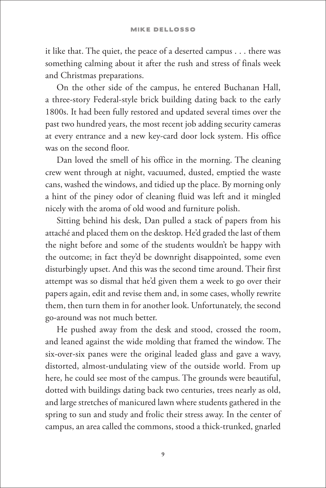it like that. The quiet, the peace of a deserted campus . . . there was something calming about it after the rush and stress of finals week and Christmas preparations.

On the other side of the campus, he entered Buchanan Hall, a three-story Federal-style brick building dating back to the early 1800s. It had been fully restored and updated several times over the past two hundred years, the most recent job adding security cameras at every entrance and a new key-card door lock system. His office was on the second floor.

Dan loved the smell of his office in the morning. The cleaning crew went through at night, vacuumed, dusted, emptied the waste cans, washed the windows, and tidied up the place. By morning only a hint of the piney odor of cleaning fluid was left and it mingled nicely with the aroma of old wood and furniture polish.

Sitting behind his desk, Dan pulled a stack of papers from his attaché and placed them on the desktop. He'd graded the last of them the night before and some of the students wouldn't be happy with the outcome; in fact they'd be downright disappointed, some even disturbingly upset. And this was the second time around. Their first attempt was so dismal that he'd given them a week to go over their papers again, edit and revise them and, in some cases, wholly rewrite them, then turn them in for another look. Unfortunately, the second go-around was not much better.

He pushed away from the desk and stood, crossed the room, and leaned against the wide molding that framed the window. The six-over-six panes were the original leaded glass and gave a wavy, distorted, almost-undulating view of the outside world. From up here, he could see most of the campus. The grounds were beautiful, dotted with buildings dating back two centuries, trees nearly as old, and large stretches of manicured lawn where students gathered in the spring to sun and study and frolic their stress away. In the center of campus, an area called the commons, stood a thick-trunked, gnarled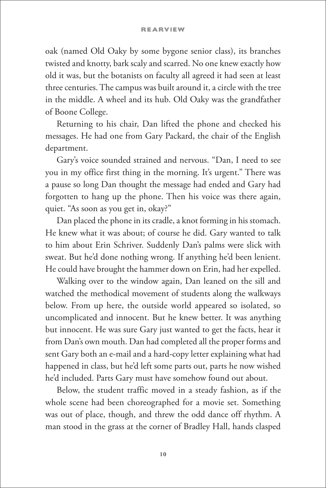## **REARVIEW**

oak (named Old Oaky by some bygone senior class), its branches twisted and knotty, bark scaly and scarred. No one knew exactly how old it was, but the botanists on faculty all agreed it had seen at least three centuries. The campus was built around it, a circle with the tree in the middle. A wheel and its hub. Old Oaky was the grandfather of Boone College.

Returning to his chair, Dan lifted the phone and checked his messages. He had one from Gary Packard, the chair of the English department.

Gary's voice sounded strained and nervous. "Dan, I need to see you in my office first thing in the morning. It's urgent." There was a pause so long Dan thought the message had ended and Gary had forgotten to hang up the phone. Then his voice was there again, quiet. "As soon as you get in, okay?"

Dan placed the phone in its cradle, a knot forming in his stomach. He knew what it was about; of course he did. Gary wanted to talk to him about Erin Schriver. Suddenly Dan's palms were slick with sweat. But he'd done nothing wrong. If anything he'd been lenient. He could have brought the hammer down on Erin, had her expelled.

Walking over to the window again, Dan leaned on the sill and watched the methodical movement of students along the walkways below. From up here, the outside world appeared so isolated, so uncomplicated and innocent. But he knew better. It was anything but innocent. He was sure Gary just wanted to get the facts, hear it from Dan's own mouth. Dan had completed all the proper forms and sent Gary both an e-mail and a hard-copy letter explaining what had happened in class, but he'd left some parts out, parts he now wished he'd included. Parts Gary must have somehow found out about.

Below, the student traffic moved in a steady fashion, as if the whole scene had been choreographed for a movie set. Something was out of place, though, and threw the odd dance off rhythm. A man stood in the grass at the corner of Bradley Hall, hands clasped